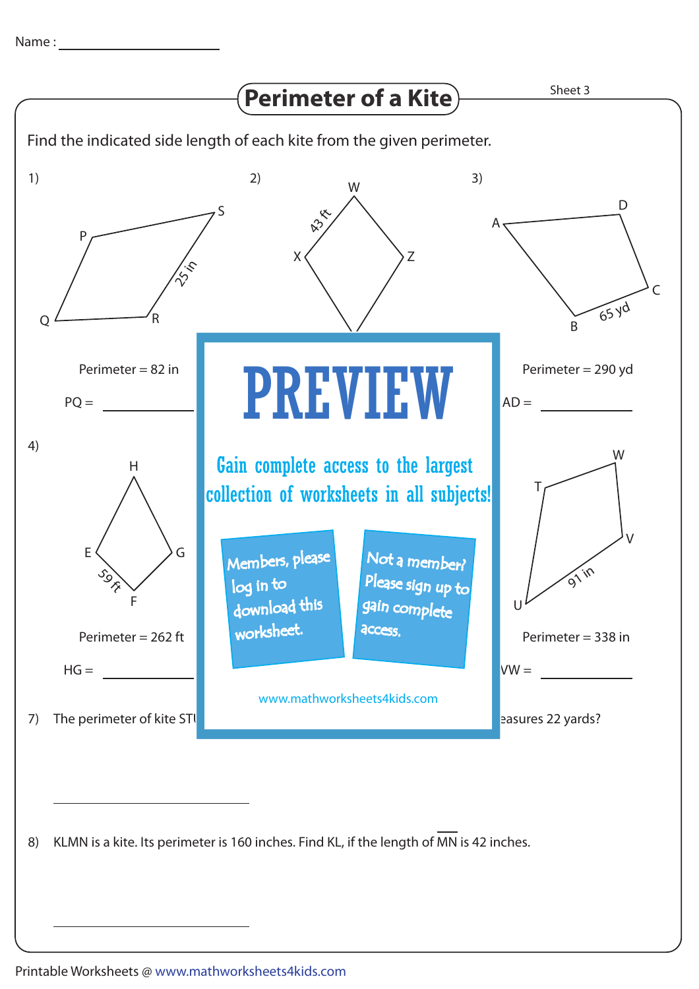